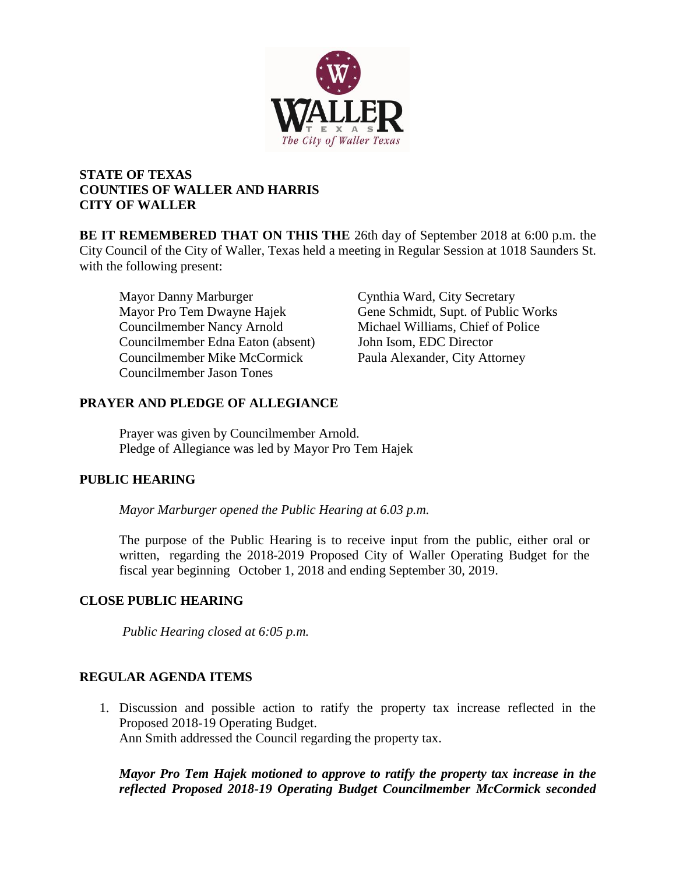

# **STATE OF TEXAS COUNTIES OF WALLER AND HARRIS CITY OF WALLER**

**BE IT REMEMBERED THAT ON THIS THE** 26th day of September 2018 at 6:00 p.m. the City Council of the City of Waller, Texas held a meeting in Regular Session at 1018 Saunders St. with the following present:

Mayor Danny Marburger Cynthia Ward, City Secretary Councilmember Nancy Arnold Michael Williams, Chief of Police Councilmember Edna Eaton (absent) John Isom, EDC Director Councilmember Mike McCormick Paula Alexander, City Attorney Councilmember Jason Tones

Mayor Pro Tem Dwayne Hajek Gene Schmidt, Supt. of Public Works

# **PRAYER AND PLEDGE OF ALLEGIANCE**

Prayer was given by Councilmember Arnold. Pledge of Allegiance was led by Mayor Pro Tem Hajek

# **PUBLIC HEARING**

*Mayor Marburger opened the Public Hearing at 6.03 p.m.*

The purpose of the Public Hearing is to receive input from the public, either oral or written, regarding the 2018-2019 Proposed City of Waller Operating Budget for the fiscal year beginning October 1, 2018 and ending September 30, 2019.

# **CLOSE PUBLIC HEARING**

*Public Hearing closed at 6:05 p.m.*

# **REGULAR AGENDA ITEMS**

1. Discussion and possible action to ratify the property tax increase reflected in the Proposed 2018-19 Operating Budget. Ann Smith addressed the Council regarding the property tax.

*Mayor Pro Tem Hajek motioned to approve to ratify the property tax increase in the reflected Proposed 2018-19 Operating Budget Councilmember McCormick seconded*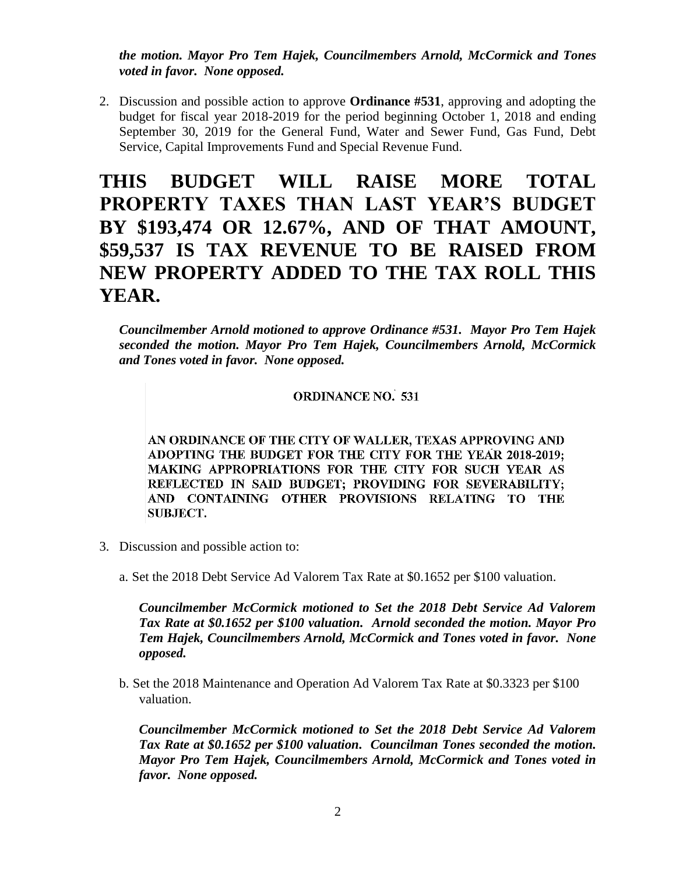*the motion. Mayor Pro Tem Hajek, Councilmembers Arnold, McCormick and Tones voted in favor. None opposed.* 

2. Discussion and possible action to approve **Ordinance #531**, approving and adopting the budget for fiscal year 2018-2019 for the period beginning October 1, 2018 and ending September 30, 2019 for the General Fund, Water and Sewer Fund, Gas Fund, Debt Service, Capital Improvements Fund and Special Revenue Fund.

# **THIS BUDGET WILL RAISE MORE TOTAL PROPERTY TAXES THAN LAST YEAR'S BUDGET BY \$193,474 OR 12.67%, AND OF THAT AMOUNT, \$59,537 IS TAX REVENUE TO BE RAISED FROM NEW PROPERTY ADDED TO THE TAX ROLL THIS YEAR.**

*Councilmember Arnold motioned to approve Ordinance #531. Mayor Pro Tem Hajek seconded the motion. Mayor Pro Tem Hajek, Councilmembers Arnold, McCormick and Tones voted in favor. None opposed.* 

## **ORDINANCE NO. 531**

AN ORDINANCE OF THE CITY OF WALLER, TEXAS APPROVING AND ADOPTING THE BUDGET FOR THE CITY FOR THE YEAR 2018-2019; MAKING APPROPRIATIONS FOR THE CITY FOR SUCH YEAR AS REFLECTED IN SAID BUDGET; PROVIDING FOR SEVERABILITY; AND CONTAINING OTHER PROVISIONS RELATING TO THE SUBJECT.

- 3. Discussion and possible action to:
	- a. Set the 2018 Debt Service Ad Valorem Tax Rate at \$0.1652 per \$100 valuation.

*Councilmember McCormick motioned to Set the 2018 Debt Service Ad Valorem Tax Rate at \$0.1652 per \$100 valuation. Arnold seconded the motion. Mayor Pro Tem Hajek, Councilmembers Arnold, McCormick and Tones voted in favor. None opposed.* 

b. Set the 2018 Maintenance and Operation Ad Valorem Tax Rate at \$0.3323 per \$100 valuation.

*Councilmember McCormick motioned to Set the 2018 Debt Service Ad Valorem Tax Rate at \$0.1652 per \$100 valuation. Councilman Tones seconded the motion. Mayor Pro Tem Hajek, Councilmembers Arnold, McCormick and Tones voted in favor. None opposed.*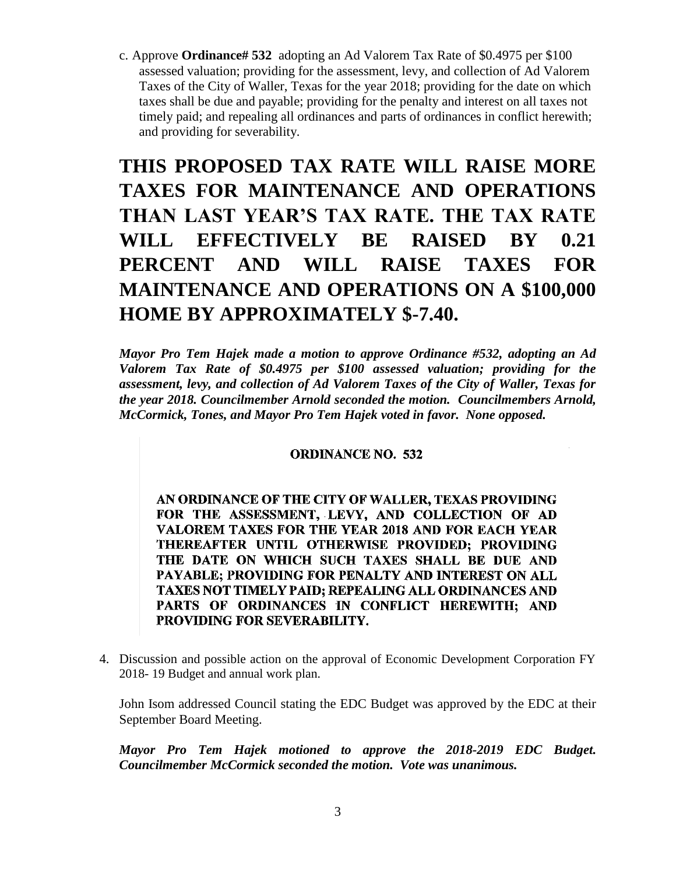c. Approve **Ordinance# 532** adopting an Ad Valorem Tax Rate of \$0.4975 per \$100 assessed valuation; providing for the assessment, levy, and collection of Ad Valorem Taxes of the City of Waller, Texas for the year 2018; providing for the date on which taxes shall be due and payable; providing for the penalty and interest on all taxes not timely paid; and repealing all ordinances and parts of ordinances in conflict herewith; and providing for severability.

# **THIS PROPOSED TAX RATE WILL RAISE MORE TAXES FOR MAINTENANCE AND OPERATIONS THAN LAST YEAR'S TAX RATE. THE TAX RATE WILL EFFECTIVELY BE RAISED BY 0.21 PERCENT AND WILL RAISE TAXES FOR MAINTENANCE AND OPERATIONS ON A \$100,000 HOME BY APPROXIMATELY \$-7.40.**

*Mayor Pro Tem Hajek made a motion to approve Ordinance #532, adopting an Ad Valorem Tax Rate of \$0.4975 per \$100 assessed valuation; providing for the assessment, levy, and collection of Ad Valorem Taxes of the City of Waller, Texas for the year 2018. Councilmember Arnold seconded the motion. Councilmembers Arnold, McCormick, Tones, and Mayor Pro Tem Hajek voted in favor. None opposed.* 

### **ORDINANCE NO. 532**

AN ORDINANCE OF THE CITY OF WALLER, TEXAS PROVIDING FOR THE ASSESSMENT, LEVY, AND COLLECTION OF AD VALOREM TAXES FOR THE YEAR 2018 AND FOR EACH YEAR THEREAFTER UNTIL OTHERWISE PROVIDED; PROVIDING THE DATE ON WHICH SUCH TAXES SHALL BE DUE AND PAYABLE; PROVIDING FOR PENALTY AND INTEREST ON ALL **TAXES NOT TIMELY PAID: REPEALING ALL ORDINANCES AND** PARTS OF ORDINANCES IN CONFLICT HEREWITH; AND PROVIDING FOR SEVERABILITY.

4. Discussion and possible action on the approval of Economic Development Corporation FY 2018- 19 Budget and annual work plan.

John Isom addressed Council stating the EDC Budget was approved by the EDC at their September Board Meeting.

*Mayor Pro Tem Hajek motioned to approve the 2018-2019 EDC Budget. Councilmember McCormick seconded the motion. Vote was unanimous.*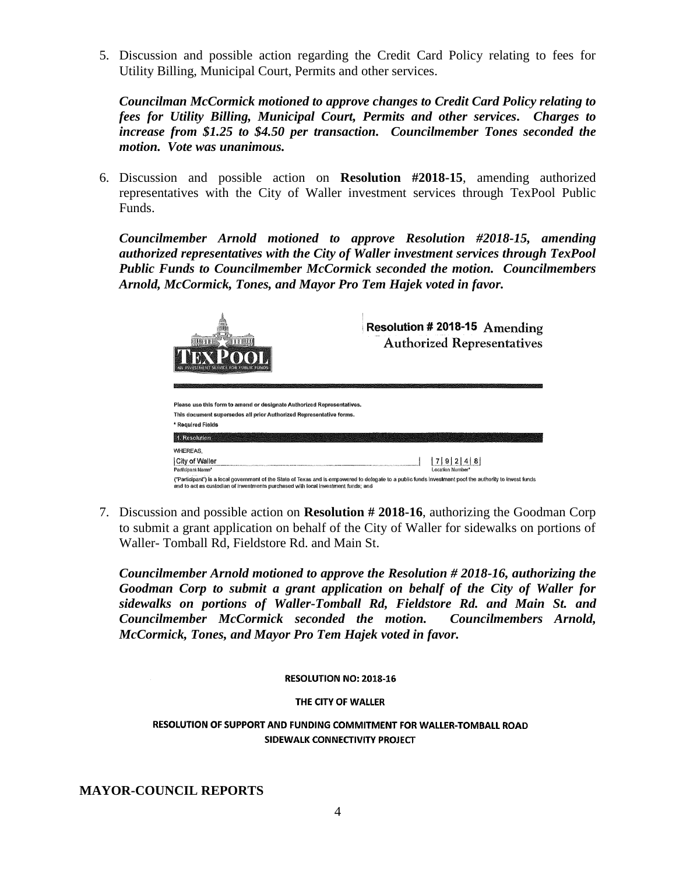5. Discussion and possible action regarding the Credit Card Policy relating to fees for Utility Billing, Municipal Court, Permits and other services.

*Councilman McCormick motioned to approve changes to Credit Card Policy relating to fees for Utility Billing, Municipal Court, Permits and other services. Charges to increase from \$1.25 to \$4.50 per transaction. Councilmember Tones seconded the motion. Vote was unanimous.*

6. Discussion and possible action on **Resolution #2018-15**, amending authorized representatives with the City of Waller investment services through TexPool Public Funds.

*Councilmember Arnold motioned to approve Resolution #2018-15, amending authorized representatives with the City of Waller investment services through TexPool Public Funds to Councilmember McCormick seconded the motion. Councilmembers Arnold, McCormick, Tones, and Mayor Pro Tem Hajek voted in favor.* 

| an a a a<br><b>NAY DAY</b><br>INVESTMENT SERVICE FOR PUBLIC FUNDS                                                                                                                                                                             | Resolution # 2018-15 Amending<br><b>Authorized Representatives</b> |
|-----------------------------------------------------------------------------------------------------------------------------------------------------------------------------------------------------------------------------------------------|--------------------------------------------------------------------|
| Please use this form to amend or designate Authorized Representatives.                                                                                                                                                                        |                                                                    |
| This document supersedes all prior Authorized Representative forms.                                                                                                                                                                           |                                                                    |
| * Required Fields                                                                                                                                                                                                                             |                                                                    |
| 1. Resolution                                                                                                                                                                                                                                 |                                                                    |
| <b>WHEREAS,</b>                                                                                                                                                                                                                               |                                                                    |
| <b>City of Waller</b>                                                                                                                                                                                                                         | 4 8<br>7191                                                        |
| Participant Name*                                                                                                                                                                                                                             | Location Number*                                                   |
| ("Participant") is a local government of the State of Texas and is empowered to delegate to a public funds investment pool the authority to invest funds<br>and to act as custodian of investments purchased with local investment funds; and |                                                                    |

7. Discussion and possible action on **Resolution # 2018-16**, authorizing the Goodman Corp to submit a grant application on behalf of the City of Waller for sidewalks on portions of Waller- Tomball Rd, Fieldstore Rd. and Main St.

*Councilmember Arnold motioned to approve the Resolution # 2018-16, authorizing the Goodman Corp to submit a grant application on behalf of the City of Waller for sidewalks on portions of Waller-Tomball Rd, Fieldstore Rd. and Main St. and Councilmember McCormick seconded the motion. Councilmembers Arnold, McCormick, Tones, and Mayor Pro Tem Hajek voted in favor.* 

#### RESOLUTION NO: 2018-16

#### THE CITY OF WALLER

### RESOLUTION OF SUPPORT AND FUNDING COMMITMENT FOR WALLER-TOMBALL ROAD SIDEWALK CONNECTIVITY PROJECT

**MAYOR-COUNCIL REPORTS**